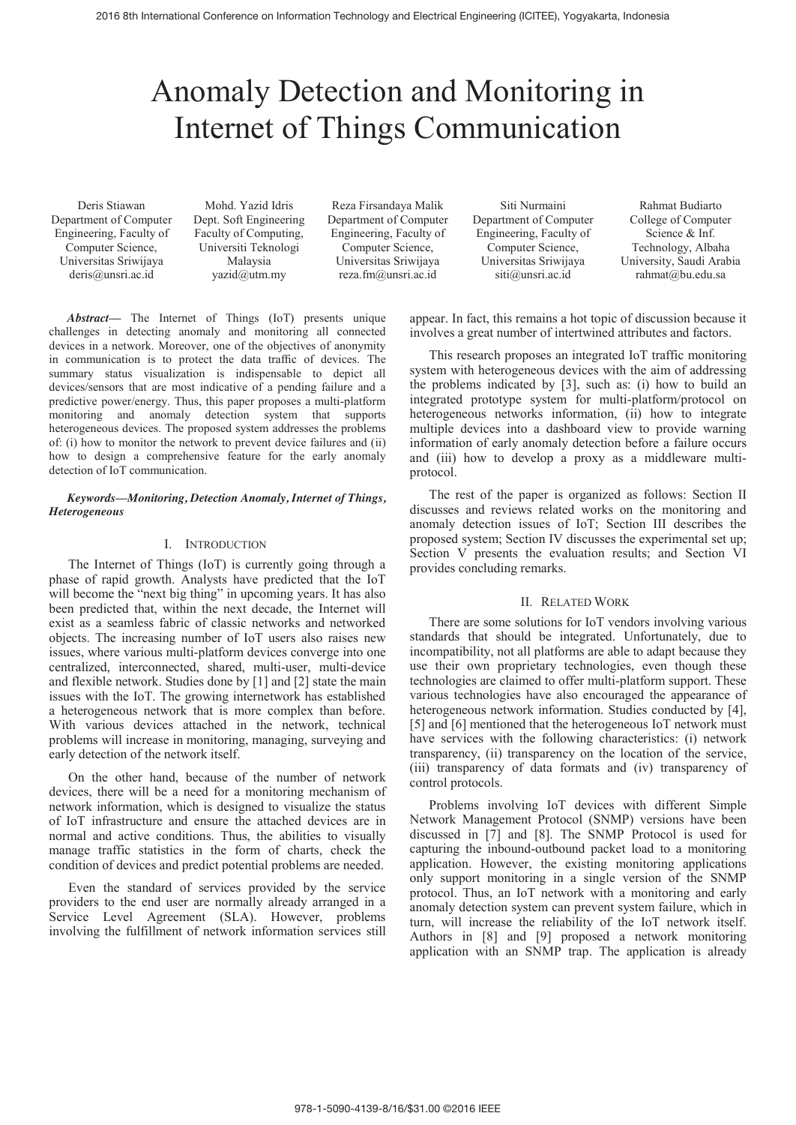# Anomaly Detection and Monitoring in Internet of Things Communication

Deris Stiawan Department of Computer Engineering, Faculty of Computer Science, Universitas Sriwijaya deris@unsri.ac.id

Mohd. Yazid Idris Dept. Soft Engineering Faculty of Computing, Universiti Teknologi Malaysia yazid@utm.my

Reza Firsandaya Malik Department of Computer Engineering, Faculty of Computer Science, Universitas Sriwijaya reza.fm@unsri.ac.id

Siti Nurmaini Department of Computer Engineering, Faculty of Computer Science, Universitas Sriwijaya siti@unsri.ac.id

Rahmat Budiarto College of Computer Science & Inf. Technology, Albaha University, Saudi Arabia rahmat@bu.edu.sa

*Abstract***—** The Internet of Things (IoT) presents unique challenges in detecting anomaly and monitoring all connected devices in a network. Moreover, one of the objectives of anonymity in communication is to protect the data traffic of devices. The summary status visualization is indispensable to depict all devices/sensors that are most indicative of a pending failure and a predictive power/energy. Thus, this paper proposes a multi-platform monitoring and anomaly detection system that supports heterogeneous devices. The proposed system addresses the problems of: (i) how to monitor the network to prevent device failures and (ii) how to design a comprehensive feature for the early anomaly detection of IoT communication.

#### *Keywords—Monitoring, Detection Anomaly, Internet of Things, Heterogeneous*

## I. INTRODUCTION

The Internet of Things (IoT) is currently going through a phase of rapid growth. Analysts have predicted that the IoT will become the "next big thing" in upcoming years. It has also been predicted that, within the next decade, the Internet will exist as a seamless fabric of classic networks and networked objects. The increasing number of IoT users also raises new issues, where various multi-platform devices converge into one centralized, interconnected, shared, multi-user, multi-device and flexible network. Studies done by [1] and [2] state the main issues with the IoT. The growing internetwork has established a heterogeneous network that is more complex than before. With various devices attached in the network, technical problems will increase in monitoring, managing, surveying and early detection of the network itself.

On the other hand, because of the number of network devices, there will be a need for a monitoring mechanism of network information, which is designed to visualize the status of IoT infrastructure and ensure the attached devices are in normal and active conditions. Thus, the abilities to visually manage traffic statistics in the form of charts, check the condition of devices and predict potential problems are needed.

Even the standard of services provided by the service providers to the end user are normally already arranged in a Service Level Agreement (SLA). However, problems involving the fulfillment of network information services still appear. In fact, this remains a hot topic of discussion because it involves a great number of intertwined attributes and factors.

This research proposes an integrated IoT traffic monitoring system with heterogeneous devices with the aim of addressing the problems indicated by [3], such as: (i) how to build an integrated prototype system for multi-platform/protocol on heterogeneous networks information, (ii) how to integrate multiple devices into a dashboard view to provide warning information of early anomaly detection before a failure occurs and (iii) how to develop a proxy as a middleware multiprotocol.

The rest of the paper is organized as follows: Section II discusses and reviews related works on the monitoring and anomaly detection issues of IoT; Section III describes the proposed system; Section IV discusses the experimental set up; Section V presents the evaluation results; and Section VI provides concluding remarks.

#### II. RELATED WORK

There are some solutions for IoT vendors involving various standards that should be integrated. Unfortunately, due to incompatibility, not all platforms are able to adapt because they use their own proprietary technologies, even though these technologies are claimed to offer multi-platform support. These various technologies have also encouraged the appearance of heterogeneous network information. Studies conducted by [4], [5] and [6] mentioned that the heterogeneous IoT network must have services with the following characteristics: (i) network transparency, (ii) transparency on the location of the service, (iii) transparency of data formats and (iv) transparency of control protocols.

Problems involving IoT devices with different Simple Network Management Protocol (SNMP) versions have been discussed in [7] and [8]. The SNMP Protocol is used for capturing the inbound-outbound packet load to a monitoring application. However, the existing monitoring applications only support monitoring in a single version of the SNMP protocol. Thus, an IoT network with a monitoring and early anomaly detection system can prevent system failure, which in turn, will increase the reliability of the IoT network itself. Authors in [8] and [9] proposed a network monitoring application with an SNMP trap. The application is already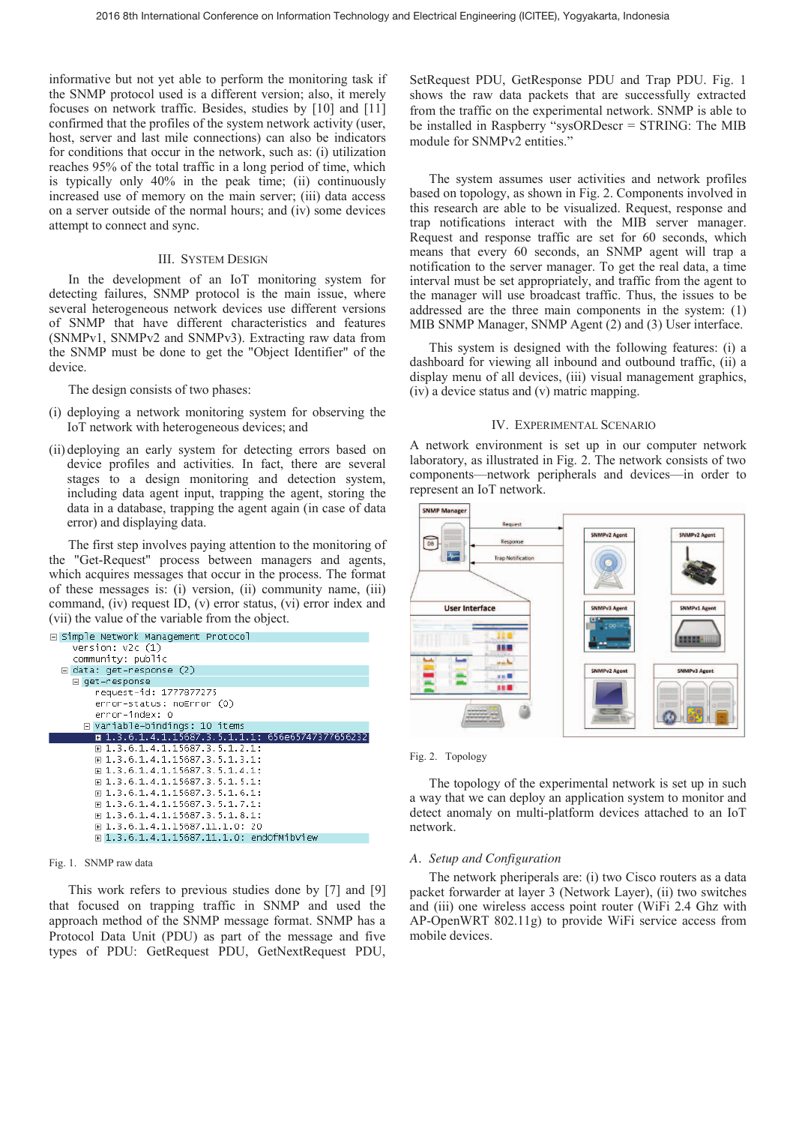informative but not yet able to perform the monitoring task if the SNMP protocol used is a different version; also, it merely focuses on network traffic. Besides, studies by [10] and [11] confirmed that the profiles of the system network activity (user, host, server and last mile connections) can also be indicators for conditions that occur in the network, such as: (i) utilization reaches 95% of the total traffic in a long period of time, which is typically only 40% in the peak time; (ii) continuously increased use of memory on the main server; (iii) data access on a server outside of the normal hours; and (iv) some devices attempt to connect and sync.

#### III. SYSTEM DESIGN

In the development of an IoT monitoring system for detecting failures, SNMP protocol is the main issue, where several heterogeneous network devices use different versions of SNMP that have different characteristics and features (SNMPv1, SNMPv2 and SNMPv3). Extracting raw data from the SNMP must be done to get the "Object Identifier" of the device.

The design consists of two phases:

- (i) deploying a network monitoring system for observing the IoT network with heterogeneous devices; and
- (ii) deploying an early system for detecting errors based on device profiles and activities. In fact, there are several stages to a design monitoring and detection system, including data agent input, trapping the agent, storing the data in a database, trapping the agent again (in case of data error) and displaying data.

The first step involves paying attention to the monitoring of the "Get-Request" process between managers and agents, which acquires messages that occur in the process. The format of these messages is: (i) version, (ii) community name, (iii) command, (iv) request ID, (v) error status, (vi) error index and (vii) the value of the variable from the object.



#### Fig. 1. SNMP raw data

This work refers to previous studies done by [7] and [9] that focused on trapping traffic in SNMP and used the approach method of the SNMP message format. SNMP has a Protocol Data Unit (PDU) as part of the message and five types of PDU: GetRequest PDU, GetNextRequest PDU,

SetRequest PDU, GetResponse PDU and Trap PDU. Fig. 1 shows the raw data packets that are successfully extracted from the traffic on the experimental network. SNMP is able to be installed in Raspberry "sysORDescr = STRING: The MIB module for SNMPv2 entities."

The system assumes user activities and network profiles based on topology, as shown in Fig. 2. Components involved in this research are able to be visualized. Request, response and trap notifications interact with the MIB server manager. Request and response traffic are set for 60 seconds, which means that every 60 seconds, an SNMP agent will trap a notification to the server manager. To get the real data, a time interval must be set appropriately, and traffic from the agent to the manager will use broadcast traffic. Thus, the issues to be addressed are the three main components in the system: (1) MIB SNMP Manager, SNMP Agent (2) and (3) User interface.

This system is designed with the following features: (i) a dashboard for viewing all inbound and outbound traffic, (ii) a display menu of all devices, (iii) visual management graphics, (iv) a device status and (v) matric mapping.

#### IV. EXPERIMENTAL SCENARIO

A network environment is set up in our computer network laboratory, as illustrated in Fig. 2. The network consists of two components—network peripherals and devices—in order to represent an IoT network.





The topology of the experimental network is set up in such a way that we can deploy an application system to monitor and detect anomaly on multi-platform devices attached to an IoT network.

### *A. Setup and Configuration*

The network pheriperals are: (i) two Cisco routers as a data packet forwarder at layer 3 (Network Layer), (ii) two switches and (iii) one wireless access point router (WiFi 2.4 Ghz with AP-OpenWRT 802.11g) to provide WiFi service access from mobile devices.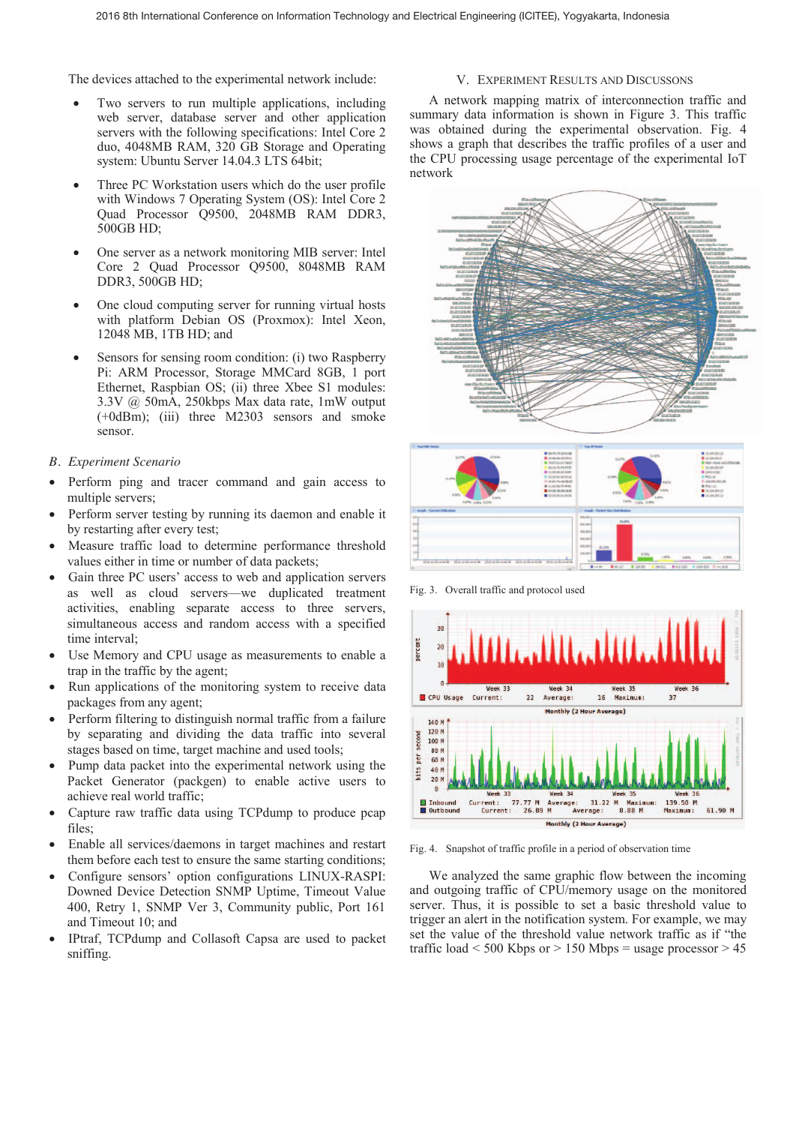The devices attached to the experimental network include:

- Two servers to run multiple applications, including web server, database server and other application servers with the following specifications: Intel Core 2 duo, 4048MB RAM, 320 GB Storage and Operating system: Ubuntu Server 14.04.3 LTS 64bit;
- Three PC Workstation users which do the user profile with Windows 7 Operating System (OS): Intel Core 2 Quad Processor Q9500, 2048MB RAM DDR3, 500GB HD;
- One server as a network monitoring MIB server: Intel Core 2 Quad Processor Q9500, 8048MB RAM DDR3, 500GB HD;
- One cloud computing server for running virtual hosts with platform Debian OS (Proxmox): Intel Xeon, 12048 MB, 1TB HD; and
- Sensors for sensing room condition: (i) two Raspberry Pi: ARM Processor, Storage MMCard 8GB, 1 port Ethernet, Raspbian OS; (ii) three Xbee S1 modules: 3.3V @ 50mA, 250kbps Max data rate, 1mW output (+0dBm); (iii) three M2303 sensors and smoke sensor.

## *B. Experiment Scenario*

- Perform ping and tracer command and gain access to multiple servers;
- Perform server testing by running its daemon and enable it by restarting after every test;
- Measure traffic load to determine performance threshold values either in time or number of data packets;
- Gain three PC users' access to web and application servers as well as cloud servers—we duplicated treatment activities, enabling separate access to three servers, simultaneous access and random access with a specified time interval;
- Use Memory and CPU usage as measurements to enable a trap in the traffic by the agent;
- Run applications of the monitoring system to receive data packages from any agent;
- Perform filtering to distinguish normal traffic from a failure by separating and dividing the data traffic into several stages based on time, target machine and used tools;
- Pump data packet into the experimental network using the Packet Generator (packgen) to enable active users to achieve real world traffic;
- Capture raw traffic data using TCPdump to produce pcap files;
- Enable all services/daemons in target machines and restart them before each test to ensure the same starting conditions;
- Configure sensors' option configurations LINUX-RASPI: Downed Device Detection SNMP Uptime, Timeout Value 400, Retry 1, SNMP Ver 3, Community public, Port 161 and Timeout 10; and
- IPtraf, TCPdump and Collasoft Capsa are used to packet sniffing.

## V. EXPERIMENT RESULTS AND DISCUSSONS

 A network mapping matrix of interconnection traffic and summary data information is shown in Figure 3. This traffic was obtained during the experimental observation. Fig. 4 shows a graph that describes the traffic profiles of a user and the CPU processing usage percentage of the experimental IoT network





Fig. 3. Overall traffic and protocol used



Fig. 4. Snapshot of traffic profile in a period of observation time

 We analyzed the same graphic flow between the incoming and outgoing traffic of CPU/memory usage on the monitored server. Thus, it is possible to set a basic threshold value to trigger an alert in the notification system. For example, we may set the value of the threshold value network traffic as if "the traffic load  $\leq 500$  Kbps or  $> 150$  Mbps = usage processor  $> 45$